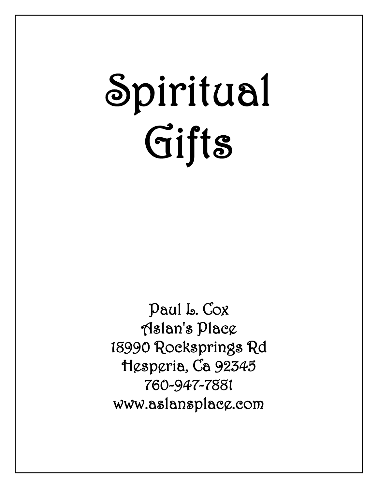# Spiritual Gifts

Paul L. Cox Aslan's Place 18990 Rocksprings Rd Hesperia, Ca 92345 760-947-7881 www.aslansplace.com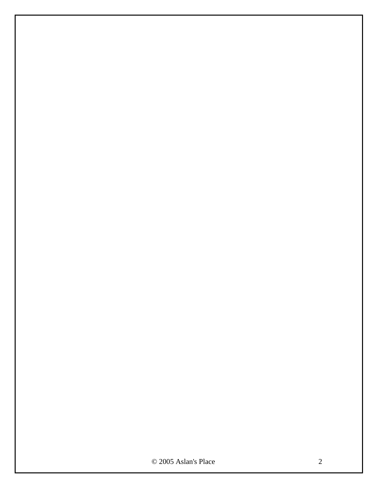© 2005 Aslan's Place 2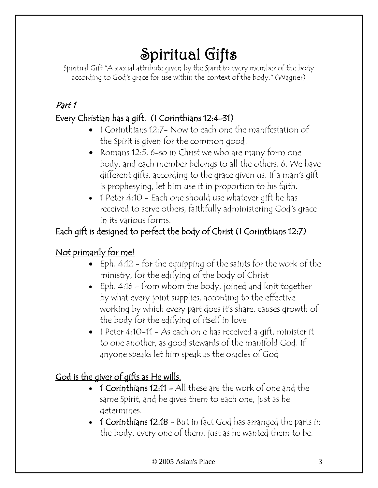# Spiritual Gifts

Spiritual Gift "A special attribute given by the Spirit to every member of the body according to God's grace for use within the context of the body." (Wagner)

# Part 1

# Every Christian has a gift. (I Corinthians 12:4-31)

- I Corinthians 12:7- Now to each one the manifestation of the Spirit is given for the common good.
- Romans 12:5, 6-so in Christ we who are many form one body, and each member belongs to all the others. 6, We have different gifts, according to the grace given us. If a man's gift is prophesying, let him use it in proportion to his faith.
- 1 Peter 4:10 Each one should use whatever gift he has received to serve others, faithfully administering God's grace in its various forms.

# Each gift is designed to perfect the body of Christ (I Corinthians 12:7)

# Not primarily for me!

- $\bullet$  Eph. 4:12 for the equipping of the saints for the work of the ministry, for the edifying of the body of Christ
- Eph. 4:16 from whom the body, joined and knit together by what every joint supplies, according to the effective working by which every part does it's share, causes growth of the body for the edifying of itself in love
- I Peter 4:10-11 As each on e has received a gift, minister it to one another, as good stewards of the manifold God. If anyone speaks let him speak as the oracles of God

# God is the giver of gifts as He wills.

- 1 Corinthians 12:11 All these are the work of one and the same Spirit, and he gives them to each one, just as he determines.
- 1 Corinthians 12:18 But in fact God has arranged the parts in the body, every one of them, just as he wanted them to be.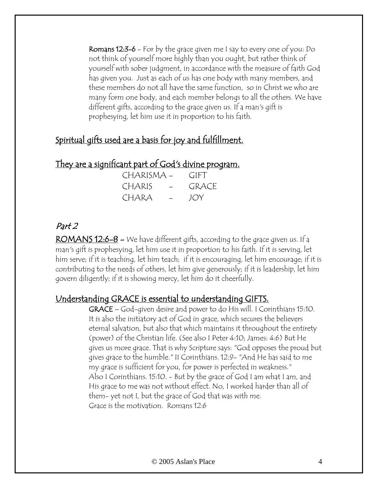Romans 12:3-6 - For by the grace given me I say to every one of you: Do not think of yourself more highly than you ought, but rather think of yourself with sober judgment, in accordance with the measure of faith God has given you. Just as each of us has one body with many members, and these members do not all have the same function, so in Christ we who are many form one body, and each member belongs to all the others. We have different gifts, according to the grace given us. If a man's gift is prophesying, let him use it in proportion to his faith.

# Spiritual gifts used are a basis for joy and fulfillment.

# They are a significant part of God's divine program.

| CHARISMA – |                      | GIFT. |
|------------|----------------------|-------|
| CHARIS     | $\sim$ $\sim$ $\sim$ | GRACE |
| CHARA      | $\sim$ $-$           | JOY   |

# Part 2

ROMANS 12:6-8 - We have different gifts, according to the grace given us. If a man's gift is prophesying, let him use it in proportion to his faith. If it is serving, let him serve; if it is teaching, let him teach; if it is encouraging, let him encourage; if it is contributing to the needs of others, let him give generously; if it is leadership, let him govern diligently; if it is showing mercy, let him do it cheerfully.

# Understanding GRACE is essential to understanding GIFTS.

GRACE – God-given desire and power to do His will. I Corinthians 15:10. It is also the initiatory act of God in grace, which secures the believers eternal salvation, but also that which maintains it throughout the entirety (power) of the Christian life. (See also I Peter 4:10; James: 4:6) But He gives us more grace. That is why Scripture says: "God opposes the proud but gives grace to the humble." II Corinthians. 12:9- "And He has said to me my grace is sufficient for you, for power is perfected in weakness." Also I Corinthians. 15:10. - But by the grace of God I am what I am, and His grace to me was not without effect. No, I worked harder than all of them- yet not I, but the grace of God that was with me. Grace is the motivation. Romans 12:6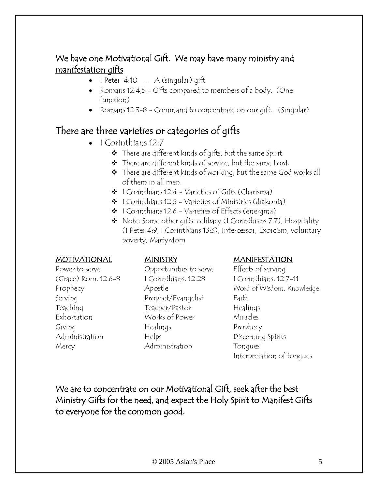# We have one Motivational Gift. We may have many ministry and manifestation gifts

- I Peter 4:10 A (singular) gift
- Romans 12:4,5 Gifts compared to members of a body. (One function)
- Romans 12:3-8 Command to concentrate on our gift. (Singular)

# There are three varieties or categories of gifts

- I Corinthians 12:7
	- \* There are different kinds of gifts, but the same Spirit.
	- $\cdot \cdot$  There are different kinds of service, but the same Lord.
	- ◆ There are different kinds of working, but the same God works all of them in all men.
	- $\div$  I Corinthians 12:4 Varieties of Gifts (Charisma)
	- $\div$  1 Corinthians 12:5 Varieties of Ministries (diakonia)
	- $\cdot$  I Corinthians 12:6 Varieties of Effects (energma)
	- Note: Some other gifts: celibacy (I Corinthians 7:7), Hospitality (I Peter 4:9, I Corinthians 13:3), Intercessor, Exorcism, voluntary poverty, Martyrdom

Power to serve **Opportunities to serve** Effects of serving Serving Prophet/Evangelist Faith Teaching Teacher/Pastor Healings Exhortation Works of Power Miracles Giving **Healings** Prophecy Administration Helps Discerning Spirits Mercy Mercy Administration Tonques

#### MOTIVATIONAL MINISTRY MANIFESTATION

(Grace) Rom. 12:6-8 I Corinthians. 12:28 I Corinthians. 12:7-11 Prophecy **Apostle** Apostle Word of Wisdom, Knowledge Interpretation of tongues

We are to concentrate on our Motivational Gift, seek after the best Ministry Gifts for the need, and expect the Holy Spirit to Manifest Gifts to everyone for the common good.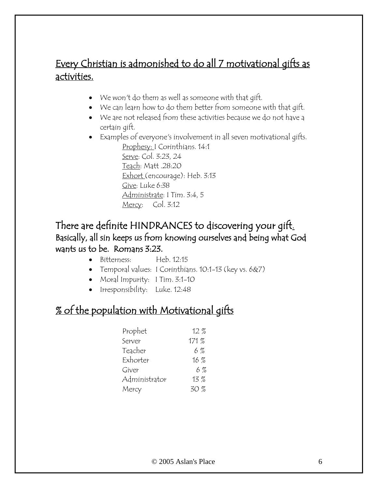# Every Christian is admonished to do all 7 motivational gifts as activities.

- We won't do them as well as someone with that gift.
- We can learn how to do them better from someone with that gift.
- We are not released from these activities because we do not have a certain gift.
- Examples of everyone's involvement in all seven motivational gifts. Prophesy: I Corinthians. 14:1 Serve: Col. 3:23, 24 Teach: Matt .28:20 Exhort (encourage): Heb. 3:13 Give: Luke 6:38 Administrate: I Tim. 3:4, 5

Mercy: Col. 3:12

# There are definite HINDRANCES to discovering your gift. Basically, all sin keeps us from knowing ourselves and being what God wants us to be. Romans 3:23.

- Bitterness: Heb. 12:15
- Temporal values: I Corinthians. 10:1-13 (key vs. 6&7)
- Moral Impurity: 1 Tim. 3:1-10
- Irresponsibility: Luke. 12:48

# % of the population with Motivational gifts

| Prophet       | $12. \%$ |
|---------------|----------|
| Server        | 171 %    |
| Teacher       | $6\%$    |
| Exhorter      | $16\%$   |
| Giver         | $6\%$    |
| Administrator | 13 %     |
| Mercy         | 30 %     |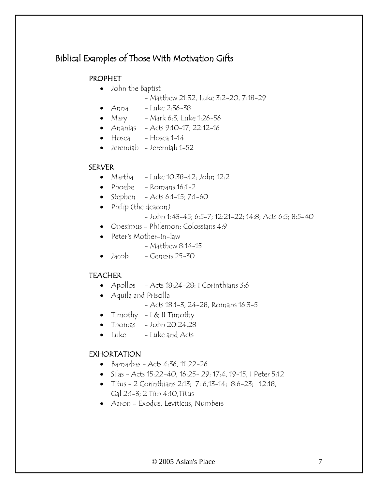# Biblical Examples of Those With Motivation Gifts

#### PROPHET

- John the Baptist
	- Matthew 21:32, Luke 3:2-20, 7:18-29
- Anna  $-$  Luke 2:36-38
- Mary  $-$  Mark 6:3, Luke 1:26-56
- Ananias  $-$  Acts 9:10-17; 22:12-16
- $\bullet$  Hosea Hosea 1-14
- Jeremiah Jeremiah 1-52

#### **SERVER**

- Martha Luke 10:38-42; John 12:2
- Phoebe  $-$  Romans  $16:1-2$
- Stephen  $-Acts 6:1-15; 7:1-60$
- Philip (the deacon)
	- John 1:43-45; 6:5-7; 12:21-22; 14:8; Acts 6:5; 8:5-40
- Onesimus Philemon; Colossians 4:9
- Peter's Mother-in-law
	- Matthew 8:14-15
- $\bullet$  Jacob Genesis 25-30

#### TEACHER

- Apollos  $-$  Acts 18:24-28: I Corinthians 3:6
- Aquila and Priscilla
	- Acts 18:1-3, 24-28, Romans 16:3-5
- Timothy I & II Timothy
- Thomas  $-$  John 20:24,28
- Luke  $-$  Luke and Acts

#### EXHORTATION

- $\bullet$  Barnarbas Acts 4:36, 11:22-26
- Silas Acts 15:22-40, 16:25- 29; 17:4, 19-15; I Peter 5:12
- Titus 2 Corinthians 2:13; 7: 6,13-14; 8:6-23; 12:18, Gal 2:1-3; 2 Tim 4:10,Titus
- Aaron Exodus, Leviticus, Numbers

 $\odot$  2005 Aslan's Place  $\qquad \qquad$  7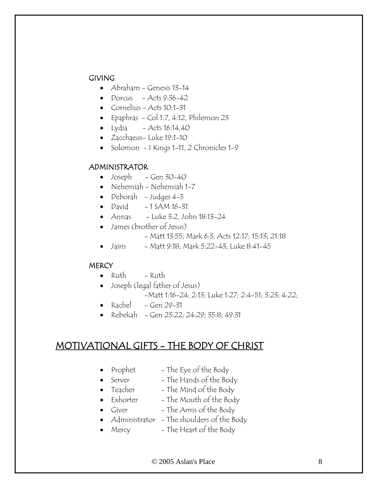#### GIVING

- Abraham Genesis 13-14
- Dorcus  $-$  Acts 9:36-42
- Cornelius Acts 10:1-31
- $\bullet$  Epaphras Col 1:7, 4:12, Philemon 23
- Lydia  $-$  Acts 16:14,40
- Zacchaeus- Luke 19:1-10
- Solomon I Kings 1-11, 2 Chronicles 1-9

#### ADMINISTRATOR

- Joseph  $-$  Gen 30-40
- Nehemiah Nehemiah 1-7
- Deborah  $-$  Judges 4-5
- David  $-1$  SAM 16-31
- Annas Luke 3:2, John  $18:13-24$
- James (brother of Jesus)
	- Matt 13:55; Mark 6:3; Acts 12:17; 15:13; 21:18
- Jairis Matt 9:18; Mark 5:22-43; Luke 8:41-45

#### **MERCY**

- Ruth  $-$  Ruth
- Joseph (legal father of Jesus)
	- -Matt 1:16-24; 2:13; Luke 1:27; 2:4-51; 3:23; 4:22;
- Rachel Gen 29-31
- Rebekah Gen 23:22; 24:29; 35:8; 49:31

### MOTIVATIONAL GIFTS - THE BODY OF CHRIST

- Prophet  $-$  The Eye of the Body
- Server  $-$  The Hands of the Body
- Teacher  $-$  The Mind of the Body
- Exhorter  $-$  The Mouth of the Body
- Giver  $-$  The Arms of the Body
- Administrator The shoulders of the Body
- Mercy The Heart of the Body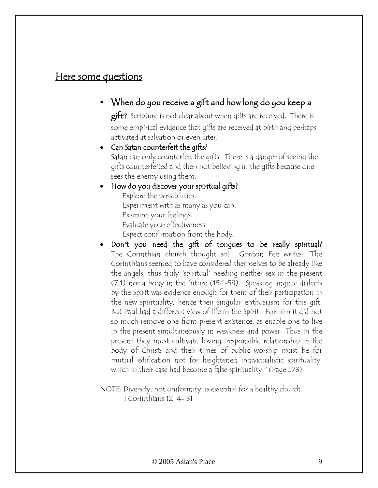# Here some questions

When do you receive a gift and how long do you keep a

gift? Scripture is not clear about when gifts are received. There is some empirical evidence that gifts are received at birth and perhaps activated at salvation or even later.

- Can Satan counterfeit the gifts? Satan can only counterfeit the gifts. There is a danger of seeing the gifts counterfeited and then not believing in the gifts because one sees the enemy using them.
- How do you discover your spiritual gifts?

Explore the possibilities.

Experiment with as many as you can.

Examine your feelings.

Evaluate your effectiveness.

Expect confirmation from the body.

- Don't you need the gift of tongues to be really spiritual? The Corinthian church thought so! Gordon Fee writes: "The Corinthians seemed to have considered themselves to be already like the angels, thus truly 'spiritual' needing neither sex in the present (7:1) nor a body in the future (15:1-58). Speaking angelic dialects by the Spirit was evidence enough for them of their participation in the new spirituality, hence their singular enthusiasm for this gift. But Paul had a different view of life in the Spirit. For him it did not so much remove one from present existence, as enable one to live in the present simultaneously in weakness and power...Thus in the present they must cultivate loving, responsible relationship in the body of Christ; and their times of public worship must be for mutual edification not for heightened individualistic spirituality, which in their case had become a false spirituality." (Page 573)
- NOTE: Diversity, not uniformity, is essential for a healthy church. I Corinthians 12: 4- 31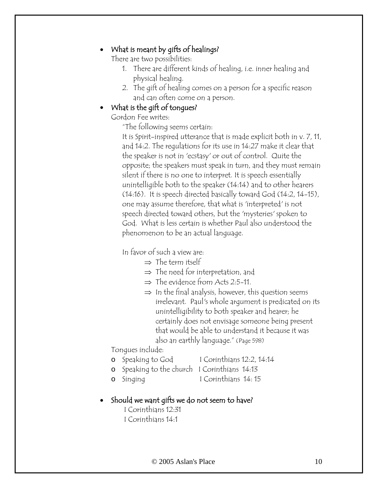#### • What is meant by gifts of healings?

There are two possibilities:

- 1. There are different kinds of healing, i.e. inner healing and physical healing.
- 2. The gift of healing comes on a person for a specific reason and can often come on a person.

## • What is the gift of tongues?

Gordon Fee writes:

"The following seems certain:

It is Spirit-inspired utterance that is made explicit both in v. 7, 11, and 14:2. The regulations for its use in 14:27 make it clear that the speaker is not in 'ecstasy' or out of control. Quite the opposite; the speakers must speak in turn, and they must remain silent if there is no one to interpret. It is speech essentially unintelligible both to the speaker (14:14) and to other hearers (14:16). It is speech directed basically toward God (14:2, 14-15), one may assume therefore, that what is 'interpreted' is not speech directed toward others, but the 'mysteries' spoken to God. What is less certain is whether Paul also understood the phenomenon to be an actual language.

In favor of such a view are:

- $\Rightarrow$  The term itself
- ⇒ The need for interpretation, and
- $\Rightarrow$  The evidence from Acts 2:5-11.
- $\Rightarrow$  In the final analysis, however, this question seems irrelevant. Paul's whole argument is predicated on its unintelligibility to both speaker and hearer; he certainly does not envisage someone being present that would be able to understand it because it was also an earthly language." (Page 598)

Tongues include:

- o Speaking to God I Corinthians 12:2, 14:14
- o Speaking to the church I Corinthians 14:13
- o Singing I Corinthians 14: 15
- Should we want gifts we do not seem to have?
	- I Corinthians 12:31 I Corinthians 14:1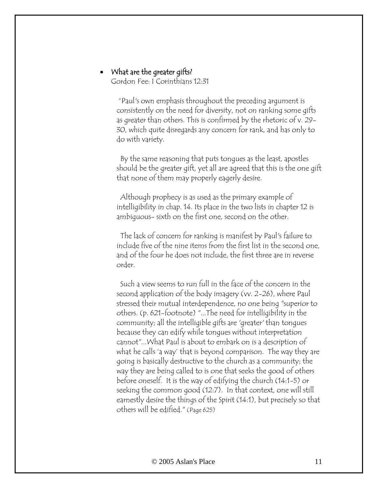#### • What are the greater gifts?

Gordon Fee: I Corinthians 12:31

"Paul's own emphasis throughout the preceding argument is consistently on the need for diversity, not on ranking some gifts as greater than others. This is confirmed by the rhetoric of v. 29- 30, which quite disregards any concern for rank, and has only to do with variety.

 By the same reasoning that puts tongues as the least, apostles should be the greater gift, yet all are agreed that this is the one gift that none of them may properly eagerly desire.

 Although prophecy is as used as the primary example of intelligibility in chap. 14. Its place in the two lists in chapter 12 is ambiguous- sixth on the first one, second on the other.

 The lack of concern for ranking is manifest by Paul's failure to include five of the nine items from the first list in the second one, and of the four he does not include, the first three are in reverse order.

 Such a view seems to run full in the face of the concern in the second application of the body imagery (vv. 2-26), where Paul stressed their mutual interdependence, no one being "superior to others. (p. 621-footnote) "...The need for intelligibility in the community; all the intelligible gifts are 'greater' than tongues because they can edify while tongues without interpretation cannot"...What Paul is about to embark on is a description of what he calls 'a way' that is beyond comparison. The way they are going is basically destructive to the church as a community; the way they are being called to is one that seeks the good of others before oneself. It is the way of edifying the church (14:1-5) or seeking the common good (12:7). In that context, one will still earnestly desire the things of the Spirit (14:1), but precisely so that others will be edified." (Page 625)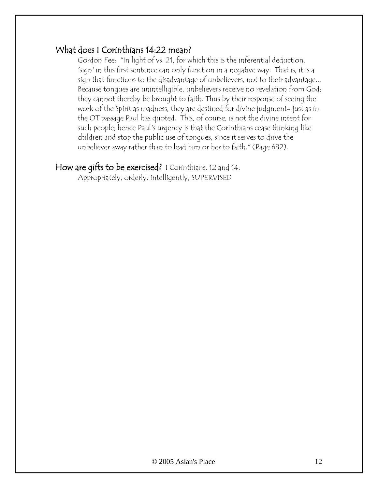#### What does I Corinthians 14:22 mean?

Gordon Fee: "In light of vs. 21, for which this is the inferential deduction, 'sign' in this first sentence can only function in a negative way. That is, it is a sign that functions to the disadvantage of unbelievers, not to their advantage... Because tongues are unintelligible, unbelievers receive no revelation from God; they cannot thereby be brought to faith. Thus by their response of seeing the work of the Spirit as madness, they are destined for divine judgment- just as in the OT passage Paul has quoted. This, of course, is not the divine intent for such people; hence Paul's urgency is that the Corinthians cease thinking like children and stop the public use of tongues, since it serves to drive the unbeliever away rather than to lead him or her to faith." (Page 682).

### How are gifts to be exercised? I Corinthians. 12 and 14.

Appropriately, orderly, intelligently, SUPERVISED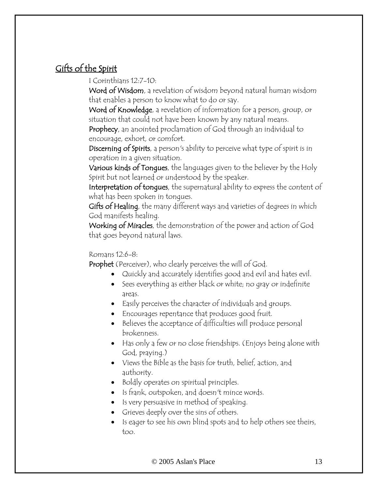# Gifts of the Spirit

I Corinthians 12:7-10:

Word of Wisdom, a revelation of wisdom beyond natural human wisdom that enables a person to know what to do or say.

Word of Knowledge, a revelation of information for a person, group, or situation that could not have been known by any natural means.

Prophecy, an anointed proclamation of God through an individual to encourage, exhort, or comfort.

Discerning of Spirits, a person's ability to perceive what type of spirit is in operation in a given situation.

Various kinds of Tongues, the languages given to the believer by the Holy Spirit but not learned or understood by the speaker.

Interpretation of tonques, the supernatural ability to express the content of what has been spoken in tongues.

Gifts of Healing, the many different ways and varieties of degrees in which God manifests healing.

Working of Miracles, the demonstration of the power and action of God that goes beyond natural laws.

Romans 12:6-8:

Prophet (Perceiver), who clearly perceives the will of God.

- Quickly and accurately identifies good and evil and hates evil.
- Sees everything as either black or white; no gray or indefinite areas.
- Easily perceives the character of individuals and groups.
- Encourages repentance that produces good fruit.
- Believes the acceptance of difficulties will produce personal brokenness.
- Has only a few or no close friendships. (Enjoys being alone with God, praying.)
- Views the Bible as the basis for truth, belief, action, and authority.
- Boldly operates on spiritual principles.
- Is frank, outspoken, and doesn't mince words.
- Is very persuasive in method of speaking.
- Grieves deeply over the sins of others.
- Is eager to see his own blind spots and to help others see theirs, too.

 $\odot$  2005 Aslan's Place 13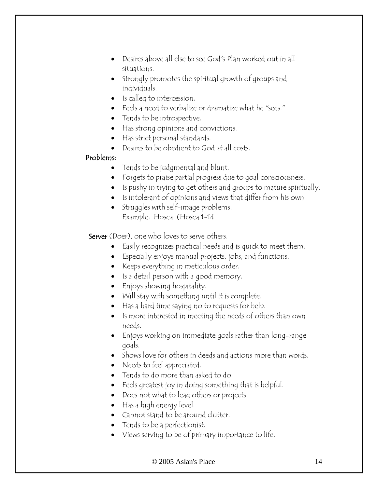- Desires above all else to see God's Plan worked out in all situations.
- Strongly promotes the spiritual growth of groups and individuals.
- Is called to intercession.
- Feels a need to verbalize or dramatize what he "sees."
- Tends to be introspective.
- Has strong opinions and convictions.
- Has strict personal standards.
- Desires to be obedient to God at all costs.

- Tends to be judgmental and blunt.
- Forgets to praise partial progress due to goal consciousness.
- Is pushy in trying to get others and groups to mature spiritually.
- Is intolerant of opinions and views that differ from his own.
- Struggles with self-image problems. Example: Hosea (Hosea 1-14

Server (Doer), one who loves to serve others.

- Easily recognizes practical needs and is quick to meet them.
- Especially enjoys manual projects, jobs, and functions.
- Keeps everything in meticulous order.
- Is a detail person with a good memory.
- Enjoys showing hospitality.
- Will stay with something until it is complete.
- Has a hard time saying no to requests for help.
- Is more interested in meeting the needs of others than own needs.
- Enjoys working on immediate goals rather than long-range goals.
- Shows love for others in deeds and actions more than words.
- Needs to feel appreciated.
- Tends to do more than asked to do.
- Feels greatest joy in doing something that is helpful.
- Does not what to lead others or projects.
	- Has a high energy level.
- Cannot stand to be around clutter.
- Tends to be a perfectionist.
- Views serving to be of primary importance to life.

 $\odot$  2005 Aslan's Place 14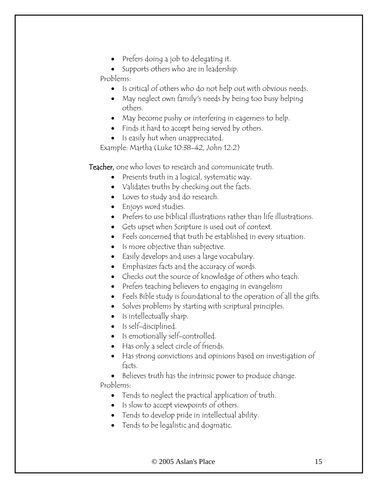- Prefers doing a job to delegating it.
- Supports others who are in leadership.

- Is critical of others who do not help out with obvious needs.
- May neglect own family's needs by being too busy helping others.
- May become pushy or interfering in eagerness to help.
- Finds it hard to accept being served by others.
- Is easily hut when unappreciated.

Example: Martha (Luke 10:38-42, John 12:2)

Teacher, one who loves to research and communicate truth.

- Presents truth in a logical, systematic way.
- Validates truths by checking out the facts.
- Loves to study and do research.
- Enjoys word studies.
- Prefers to use biblical illustrations rather than life illustrations.
- Gets upset when Scripture is used out of context.
- Feels concerned that truth be established in every situation.
- Is more objective than subjective.
- Easily develops and uses a large vocabulary.
- Emphasizes facts and the accuracy of words.
- Checks out the source of knowledge of others who teach.
- Prefers teaching believers to engaging in evangelism
- Feels Bible study is foundational to the operation of all the gifts.
- Solves problems by starting with scriptural principles.
- Is intellectually sharp.
- Is self-disciplined.
- Is emotionally self-controlled.
- Has only a select circle of friends.
- Has strong convictions and opinions based on investigation of facts.
- Believes truth has the intrinsic power to produce change.

Problems:

- Tends to neglect the practical application of truth.
- Is slow to accept viewpoints of others.
- Tends to develop pride in intellectual ability.
- Tends to be legalistic and dogmatic.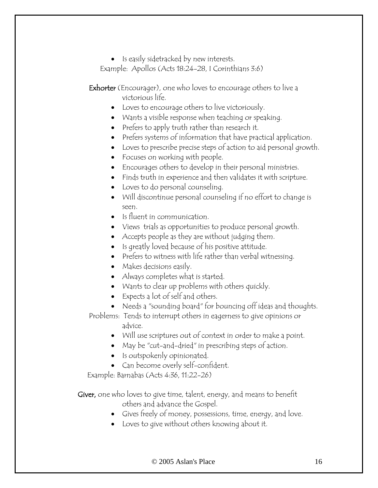• Is easily sidetracked by new interests.

Example: Apollos (Acts 18:24-28, I Corinthians 3:6)

Exhorter (Encourager), one who loves to encourage others to live a victorious life.

- Loves to encourage others to live victoriously.
- Wants a visible response when teaching or speaking.
- Prefers to apply truth rather than research it.
- Prefers systems of information that have practical application.
- Loves to prescribe precise steps of action to aid personal growth.
- Focuses on working with people.
- Encourages others to develop in their personal ministries.
- Finds truth in experience and then validates it with scripture.
- Loves to do personal counseling.
- Will discontinue personal counseling if no effort to change is seen.
- Is fluent in communication.
- Views trials as opportunities to produce personal growth.
- Accepts people as they are without judging them.
- Is greatly loved because of his positive attitude.
- Prefers to witness with life rather than verbal witnessing.
- Makes decisions easily.
- Always completes what is started.
- Wants to clear up problems with others quickly.
- Expects a lot of self and others.
- Needs a "sounding board" for bouncing off ideas and thoughts.

Problems: Tends to interrupt others in eagerness to give opinions or advice.

- Will use scriptures out of context in order to make a point.
- May be "cut-and-dried" in prescribing steps of action.
- Is outspokenly opinionated.
- Can become overly self-confident.

Example: Barnabas (Acts 4:36, 11:22-26)

**Giver,** one who loves to give time, talent, energy, and means to benefit

- others and advance the Gospel.
- Gives freely of money, possessions, time, energy, and love.
- Loves to give without others knowing about it.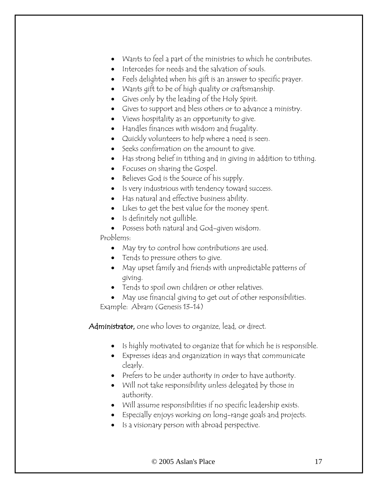- Wants to feel a part of the ministries to which he contributes.
- Intercedes for needs and the salvation of souls.
- Feels delighted when his gift is an answer to specific prayer.
- Wants gift to be of high quality or craftsmanship.
- Gives only by the leading of the Holy Spirit.
- Gives to support and bless others or to advance a ministry.
- Views hospitality as an opportunity to give.
- Handles finances with wisdom and frugality.
- Quickly volunteers to help where a need is seen.
- Seeks confirmation on the amount to give.
- Has strong belief in tithing and in giving in addition to tithing.
- Focuses on sharing the Gospel.
- Believes God is the Source of his supply.
- Is very industrious with tendency toward success.
- Has natural and effective business ability.
- Likes to get the best value for the money spent.
- Is definitely not gullible.
- Possess both natural and God-given wisdom.

- May try to control how contributions are used.
- Tends to pressure others to give.
- May upset family and friends with unpredictable patterns of giving.
- Tends to spoil own children or other relatives.
- May use financial giving to get out of other responsibilities. Example: Abram (Genesis 13-14)

Administrator, one who loves to organize, lead, or direct.

- Is highly motivated to organize that for which he is responsible.
- Expresses ideas and organization in ways that communicate clearly.
- Prefers to be under authority in order to have authority.
- Will not take responsibility unless delegated by those in authority.
- Will assume responsibilities if no specific leadership exists.
- Especially enjoys working on long-range goals and projects.
- Is a visionary person with abroad perspective.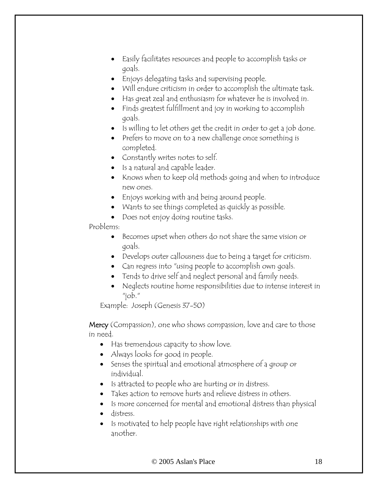- Easily facilitates resources and people to accomplish tasks or goals.
- Enjoys delegating tasks and supervising people.
- Will endure criticism in order to accomplish the ultimate task.
- Has great zeal and enthusiasm for whatever he is involved in.
- Finds greatest fulfillment and joy in working to accomplish goals.
- Is willing to let others get the credit in order to get a job done.
- Prefers to move on to a new challenge once something is completed.
- Constantly writes notes to self.
- Is a natural and capable leader.
- Knows when to keep old methods going and when to introduce new ones.
- Enjoys working with and being around people.
- Wants to see things completed as quickly as possible.
- Does not enjoy doing routine tasks.

- Becomes upset when others do not share the same vision or goals.
- Develops outer callousness due to being a target for criticism.
- Can regress into "using people to accomplish own goals.
- Tends to drive self and neglect personal and family needs.
- Neglects routine home responsibilities due to intense interest in "job."

Example: Joseph (Genesis 37-50)

Mercy (Compassion), one who shows compassion, love and care to those in need.

- Has tremendous capacity to show love.
- Always looks for good in people.
- Senses the spiritual and emotional atmosphere of a group or individual.
- Is attracted to people who are hurting or in distress.
- Takes action to remove hurts and relieve distress in others.
- Is more concerned for mental and emotional distress than physical
- distress.
- Is motivated to help people have right relationships with one another.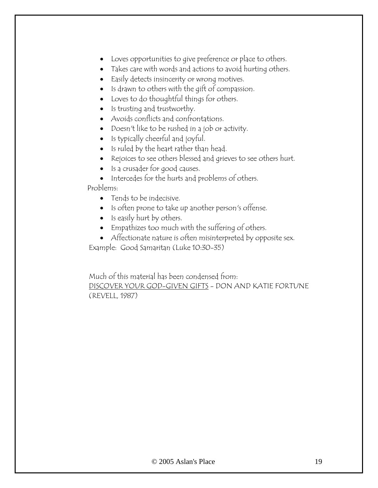- Loves opportunities to give preference or place to others.
- Takes care with words and actions to avoid hurting others.
- Easily detects insincerity or wrong motives.
- Is drawn to others with the gift of compassion.
- Loves to do thoughtful things for others.
- Is trusting and trustworthy.
- Avoids conflicts and confrontations.
- Doesn't like to be rushed in a job or activity.
- Is typically cheerful and joyful.
- Is ruled by the heart rather than head.
- Rejoices to see others blessed and grieves to see others hurt.
- Is a crusader for good causes.
- Intercedes for the hurts and problems of others.

- Tends to be indecisive.
- Is often prone to take up another person's offense.
- Is easily hurt by others.
- Empathizes too much with the suffering of others.
- Affectionate nature is often misinterpreted by opposite sex.

Example: Good Samaritan (Luke 10:30-35)

Much of this material has been condensed from: DISCOVER YOUR GOD-GIVEN GIFTS - DON AND KATIE FORTUNE (REVELL, 1987)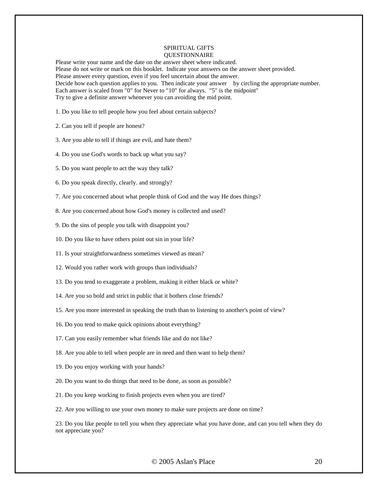#### SPIRITUAL GIFTS **OUESTIONNAIRE**

Please write your name and the date on the answer sheet where indicated. Please do not write or mark on this booklet. Indicate your answers on the answer sheet provided. Please answer every question, even if you feel uncertain about the answer. Decide how each question applies to you. Then indicate your answer by circling the appropriate number. Each answer is scaled from "0" for Never to "10" for always. "5" is the midpoint" Try to give a definite answer whenever you can avoiding the mid point.

1. Do you like to tell people how you feel about certain subjects?

- 2. Can you tell if people are honest?
- 3. Are you able to tell if things are evil, and hate them?
- 4. Do you use God's words to back up what you say?
- 5. Do you want people to act the way they talk?
- 6. Do you speak directly, clearly. and strongly?
- 7. Are you concerned about what people think of God and the way He does things?
- 8. Are you concerned about how God's money is collected and used?
- 9. Do the sins of people you talk with disappoint you?
- 10. Do you like to have others point out sin in your life?
- 11. Is your straightforwardness sometimes viewed as mean?
- 12. Would you rather work with groups than individuals?
- 13. Do you tend to exaggerate a problem, making it either black or white?
- 14. Are you so bold and strict in public that it bothers close friends?
- 15. Are you more interested in speaking the truth than to listening to another's point of view?
- 16. Do you tend to make quick opinions about everything?
- 17. Can you easily remember what friends like and do not like?
- 18. Are you able to tell when people are in need and then want to help them?
- 19. Do you enjoy working with your hands?
- 20. Do you want to do things that need to be done, as soon as possible?
- 21. Do you keep working to finish projects even when you are tired?
- 22. Are you willing to use your own money to make sure projects are done on time?

23. Do you like people to tell you when they appreciate what you have done, and can you tell when they do not appreciate you?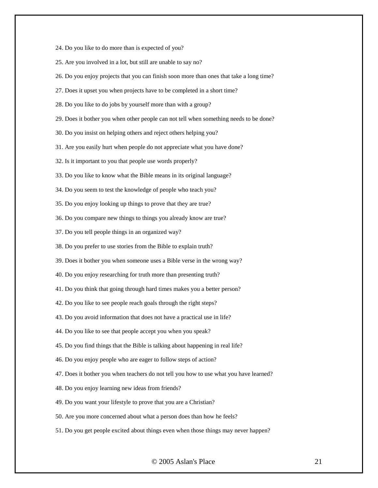- 24. Do you like to do more than is expected of you?
- 25. Are you involved in a lot, but still are unable to say no?
- 26. Do you enjoy projects that you can finish soon more than ones that take a long time?
- 27. Does it upset you when projects have to be completed in a short time?
- 28. Do you like to do jobs by yourself more than with a group?
- 29. Does it bother you when other people can not tell when something needs to be done?
- 30. Do you insist on helping others and reject others helping you?
- 31. Are you easily hurt when people do not appreciate what you have done?
- 32. Is it important to you that people use words properly?
- 33. Do you like to know what the Bible means in its original language?
- 34. Do you seem to test the knowledge of people who teach you?
- 35. Do you enjoy looking up things to prove that they are true?
- 36. Do you compare new things to things you already know are true?
- 37. Do you tell people things in an organized way?
- 38. Do you prefer to use stories from the Bible to explain truth?
- 39. Does it bother you when someone uses a Bible verse in the wrong way?
- 40. Do you enjoy researching for truth more than presenting truth?
- 41. Do you think that going through hard times makes you a better person?
- 42. Do you like to see people reach goals through the right steps?
- 43. Do you avoid information that does not have a practical use in life?
- 44. Do you like to see that people accept you when you speak?

45. Do you find things that the Bible is talking about happening in real life?

- 46. Do you enjoy people who are eager to follow steps of action?
- 47. Does it bother you when teachers do not tell you how to use what you have learned?
- 48. Do you enjoy learning new ideas from friends?
- 49. Do you want your lifestyle to prove that you are a Christian?
- 50. Are you more concerned about what a person does than how he feels?
- 51. Do you get people excited about things even when those things may never happen?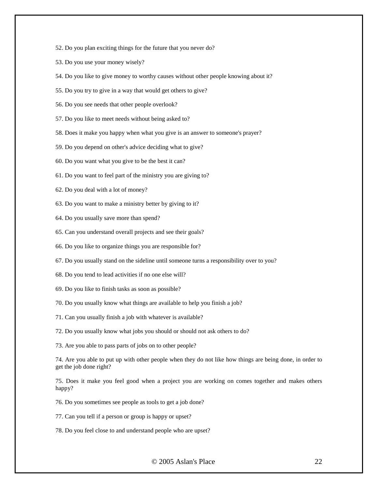- 52. Do you plan exciting things for the future that you never do?
- 53. Do you use your money wisely?
- 54. Do you like to give money to worthy causes without other people knowing about it?
- 55. Do you try to give in a way that would get others to give?
- 56. Do you see needs that other people overlook?
- 57. Do you like to meet needs without being asked to?
- 58. Does it make you happy when what you give is an answer to someone's prayer?
- 59. Do you depend on other's advice deciding what to give?
- 60. Do you want what you give to be the best it can?
- 61. Do you want to feel part of the ministry you are giving to?
- 62. Do you deal with a lot of money?
- 63. Do you want to make a ministry better by giving to it?
- 64. Do you usually save more than spend?
- 65. Can you understand overall projects and see their goals?
- 66. Do you like to organize things you are responsible for?
- 67. Do you usually stand on the sideline until someone turns a responsibility over to you?
- 68. Do you tend to lead activities if no one else will?
- 69. Do you like to finish tasks as soon as possible?
- 70. Do you usually know what things are available to help you finish a job?
- 71. Can you usually finish a job with whatever is available?
- 72. Do you usually know what jobs you should or should not ask others to do?
- 73. Are you able to pass parts of jobs on to other people?

74. Are you able to put up with other people when they do not like how things are being done, in order to get the job done right?

75. Does it make you feel good when a project you are working on comes together and makes others happy?

- 76. Do you sometimes see people as tools to get a job done?
- 77. Can you tell if a person or group is happy or upset?

78. Do you feel close to and understand people who are upset?

© 2005 Aslan's Place 22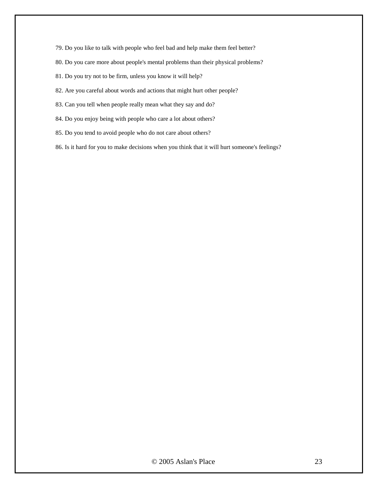- 79. Do you like to talk with people who feel bad and help make them feel better?
- 80. Do you care more about people's mental problems than their physical problems?
- 81. Do you try not to be firm, unless you know it will help?
- 82. Are you careful about words and actions that might hurt other people?
- 83. Can you tell when people really mean what they say and do?
- 84. Do you enjoy being with people who care a lot about others?
- 85. Do you tend to avoid people who do not care about others?
- 86. Is it hard for you to make decisions when you think that it will hurt someone's feelings?